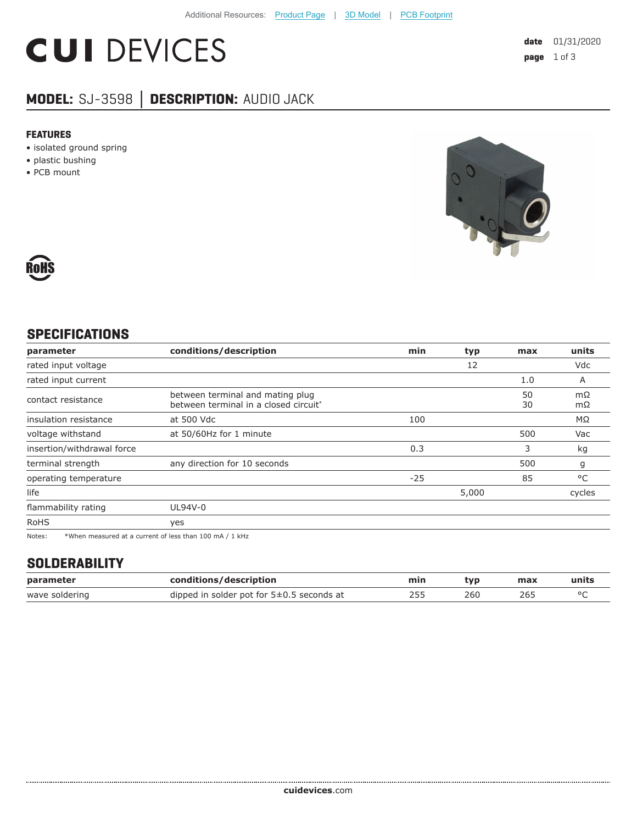# **CUI DEVICES**

## **MODEL:** SJ-3598 **│ DESCRIPTION:** AUDIO JACK

#### **FEATURES**

- isolated ground spring
- plastic bushing
- PCB mount





### **SPECIFICATIONS**

| parameter                                                                                                            | conditions/description                                                    | min   | typ   | max      | units     |
|----------------------------------------------------------------------------------------------------------------------|---------------------------------------------------------------------------|-------|-------|----------|-----------|
| rated input voltage                                                                                                  |                                                                           |       | 12    |          | Vdc       |
| rated input current                                                                                                  |                                                                           |       |       | 1.0      | A         |
| contact resistance                                                                                                   | between terminal and mating plug<br>between terminal in a closed circuit* |       |       | 50<br>30 | mΩ<br>mΩ  |
| insulation resistance                                                                                                | at 500 Vdc                                                                | 100   |       |          | $M\Omega$ |
| voltage withstand                                                                                                    | at 50/60Hz for 1 minute                                                   |       |       | 500      | Vac       |
| insertion/withdrawal force                                                                                           |                                                                           | 0.3   |       | 3        | kg        |
| terminal strength                                                                                                    | any direction for 10 seconds                                              |       |       | 500      | g         |
| operating temperature                                                                                                |                                                                           | $-25$ |       | 85       | °C        |
| life                                                                                                                 |                                                                           |       | 5,000 |          | cycles    |
| flammability rating                                                                                                  | UL94V-0                                                                   |       |       |          |           |
| <b>RoHS</b>                                                                                                          | yes                                                                       |       |       |          |           |
| the contract of the contract of the contract of the contract of the contract of the contract of the contract of<br>. |                                                                           |       |       |          |           |

Notes: \*When measured at a current of less than 100 mA / 1 kHz

#### **SOLDERABILITY**

| parameter      | conditions/description                        | min | tvo | max | units |
|----------------|-----------------------------------------------|-----|-----|-----|-------|
| wave soldering | dipped in solder pot for $5\pm0.5$ seconds at |     | 260 | 26L |       |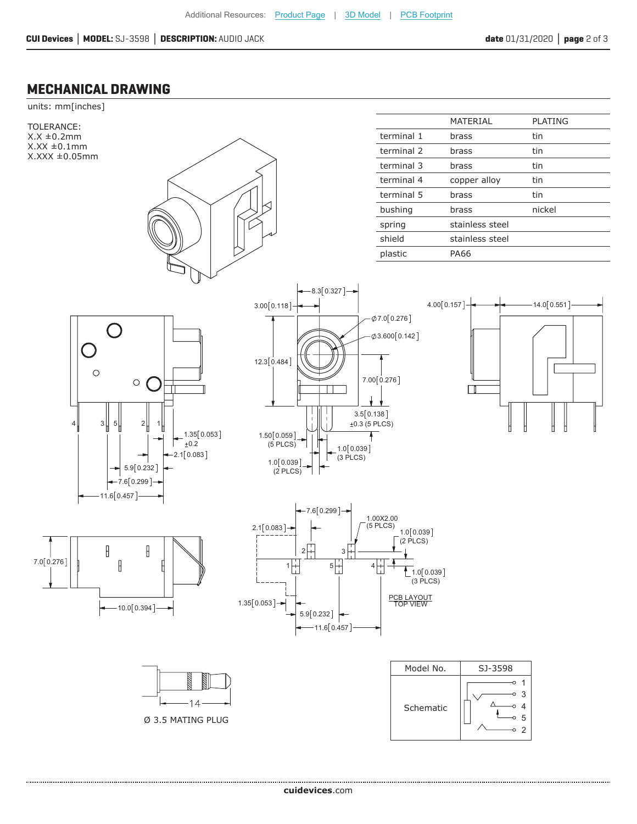#### **MECHANICAL DRAWING**